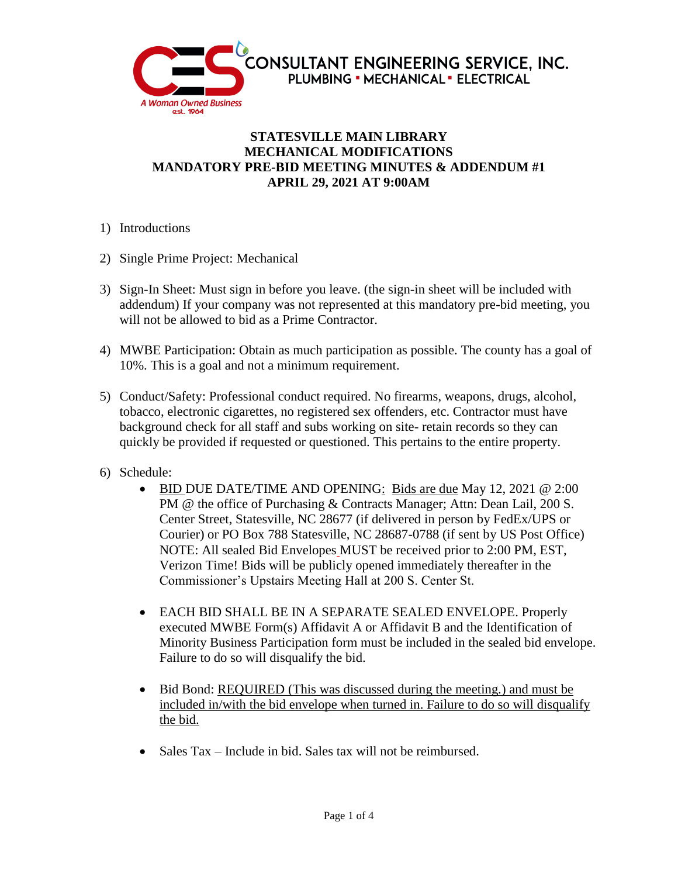

## **STATESVILLE MAIN LIBRARY MECHANICAL MODIFICATIONS MANDATORY PRE-BID MEETING MINUTES & ADDENDUM #1 APRIL 29, 2021 AT 9:00AM**

- 1) Introductions
- 2) Single Prime Project: Mechanical
- 3) Sign-In Sheet: Must sign in before you leave. (the sign-in sheet will be included with addendum) If your company was not represented at this mandatory pre-bid meeting, you will not be allowed to bid as a Prime Contractor.
- 4) MWBE Participation: Obtain as much participation as possible. The county has a goal of 10%. This is a goal and not a minimum requirement.
- 5) Conduct/Safety: Professional conduct required. No firearms, weapons, drugs, alcohol, tobacco, electronic cigarettes, no registered sex offenders, etc. Contractor must have background check for all staff and subs working on site- retain records so they can quickly be provided if requested or questioned. This pertains to the entire property.
- 6) Schedule:
	- $\bullet$  BID DUE DATE/TIME AND OPENING: Bids are due May 12, 2021 @ 2:00 PM @ the office of Purchasing & Contracts Manager; Attn: Dean Lail, 200 S. Center Street, Statesville, NC 28677 (if delivered in person by FedEx/UPS or Courier) or PO Box 788 Statesville, NC 28687-0788 (if sent by US Post Office) NOTE: All sealed Bid Envelopes MUST be received prior to 2:00 PM, EST, Verizon Time! Bids will be publicly opened immediately thereafter in the Commissioner's Upstairs Meeting Hall at 200 S. Center St.
	- EACH BID SHALL BE IN A SEPARATE SEALED ENVELOPE. Properly executed MWBE Form(s) Affidavit A or Affidavit B and the Identification of Minority Business Participation form must be included in the sealed bid envelope. Failure to do so will disqualify the bid.
	- Bid Bond: REQUIRED (This was discussed during the meeting.) and must be included in/with the bid envelope when turned in. Failure to do so will disqualify the bid.
	- Sales Tax Include in bid. Sales tax will not be reimbursed.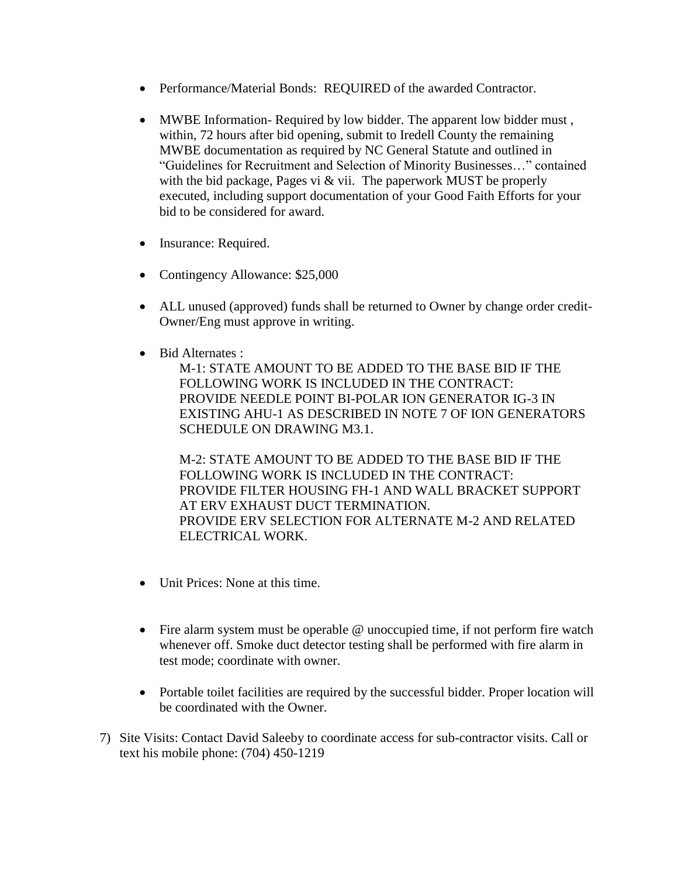- Performance/Material Bonds: REQUIRED of the awarded Contractor.
- MWBE Information- Required by low bidder. The apparent low bidder must , within, 72 hours after bid opening, submit to Iredell County the remaining MWBE documentation as required by NC General Statute and outlined in "Guidelines for Recruitment and Selection of Minority Businesses…" contained with the bid package, Pages vi  $\&$  vii. The paperwork MUST be properly executed, including support documentation of your Good Faith Efforts for your bid to be considered for award.
- Insurance: Required.
- Contingency Allowance: \$25,000
- ALL unused (approved) funds shall be returned to Owner by change order credit-Owner/Eng must approve in writing.
- Bid Alternates :

M-1: STATE AMOUNT TO BE ADDED TO THE BASE BID IF THE FOLLOWING WORK IS INCLUDED IN THE CONTRACT: PROVIDE NEEDLE POINT BI-POLAR ION GENERATOR IG-3 IN EXISTING AHU-1 AS DESCRIBED IN NOTE 7 OF ION GENERATORS SCHEDULE ON DRAWING M3.1.

M-2: STATE AMOUNT TO BE ADDED TO THE BASE BID IF THE FOLLOWING WORK IS INCLUDED IN THE CONTRACT: PROVIDE FILTER HOUSING FH-1 AND WALL BRACKET SUPPORT AT ERV EXHAUST DUCT TERMINATION. PROVIDE ERV SELECTION FOR ALTERNATE M-2 AND RELATED ELECTRICAL WORK.

- Unit Prices: None at this time.
- Fire alarm system must be operable @ unoccupied time, if not perform fire watch whenever off. Smoke duct detector testing shall be performed with fire alarm in test mode; coordinate with owner.
- Portable toilet facilities are required by the successful bidder. Proper location will be coordinated with the Owner.
- 7) Site Visits: Contact David Saleeby to coordinate access for sub-contractor visits. Call or text his mobile phone: (704) 450-1219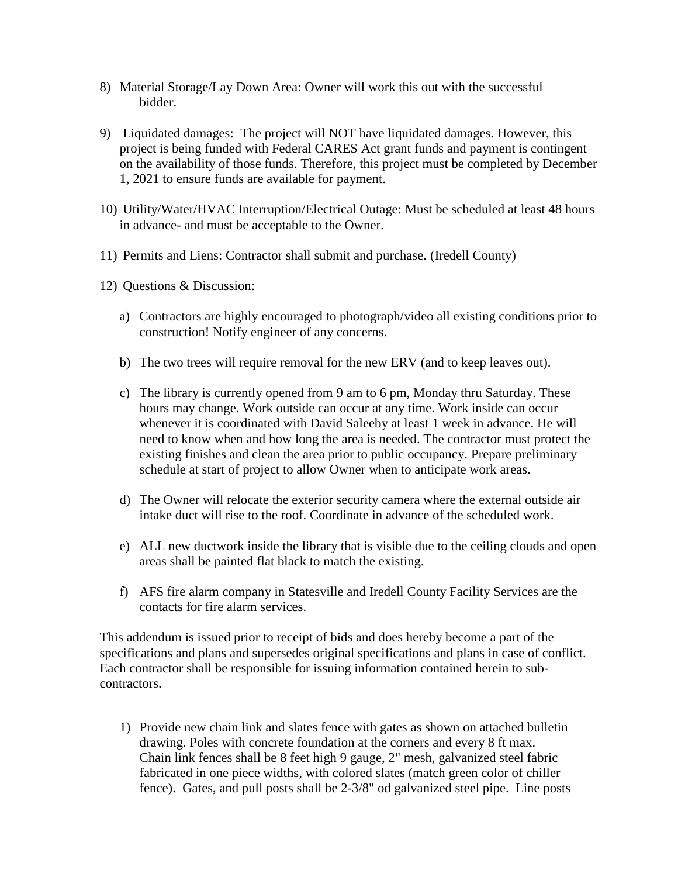- 8) Material Storage/Lay Down Area: Owner will work this out with the successful bidder.
- 9) Liquidated damages: The project will NOT have liquidated damages. However, this project is being funded with Federal CARES Act grant funds and payment is contingent on the availability of those funds. Therefore, this project must be completed by December 1, 2021 to ensure funds are available for payment.
- 10) Utility/Water/HVAC Interruption/Electrical Outage: Must be scheduled at least 48 hours in advance- and must be acceptable to the Owner.
- 11) Permits and Liens: Contractor shall submit and purchase. (Iredell County)
- 12) Questions & Discussion:
	- a) Contractors are highly encouraged to photograph/video all existing conditions prior to construction! Notify engineer of any concerns.
	- b) The two trees will require removal for the new ERV (and to keep leaves out).
	- c) The library is currently opened from 9 am to 6 pm, Monday thru Saturday. These hours may change. Work outside can occur at any time. Work inside can occur whenever it is coordinated with David Saleeby at least 1 week in advance. He will need to know when and how long the area is needed. The contractor must protect the existing finishes and clean the area prior to public occupancy. Prepare preliminary schedule at start of project to allow Owner when to anticipate work areas.
	- d) The Owner will relocate the exterior security camera where the external outside air intake duct will rise to the roof. Coordinate in advance of the scheduled work.
	- e) ALL new ductwork inside the library that is visible due to the ceiling clouds and open areas shall be painted flat black to match the existing.
	- f) AFS fire alarm company in Statesville and Iredell County Facility Services are the contacts for fire alarm services.

This addendum is issued prior to receipt of bids and does hereby become a part of the specifications and plans and supersedes original specifications and plans in case of conflict. Each contractor shall be responsible for issuing information contained herein to subcontractors.

1) Provide new chain link and slates fence with gates as shown on attached bulletin drawing. Poles with concrete foundation at the corners and every 8 ft max. Chain link fences shall be 8 feet high 9 gauge, 2" mesh, galvanized steel fabric fabricated in one piece widths, with colored slates (match green color of chiller fence). Gates, and pull posts shall be 2-3/8" od galvanized steel pipe. Line posts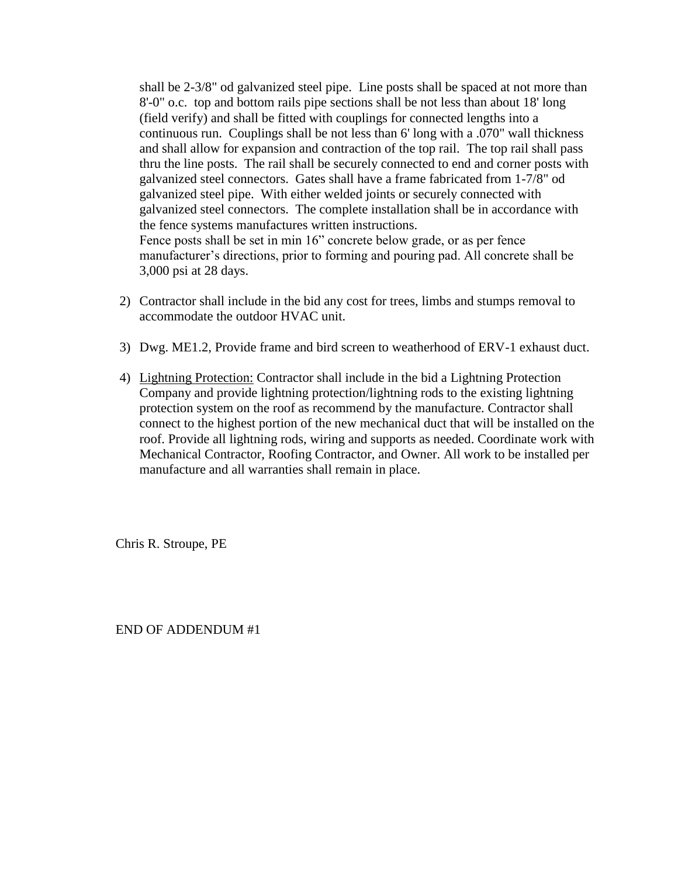shall be 2-3/8" od galvanized steel pipe. Line posts shall be spaced at not more than 8'-0" o.c. top and bottom rails pipe sections shall be not less than about 18' long (field verify) and shall be fitted with couplings for connected lengths into a continuous run. Couplings shall be not less than 6' long with a .070" wall thickness and shall allow for expansion and contraction of the top rail. The top rail shall pass thru the line posts. The rail shall be securely connected to end and corner posts with galvanized steel connectors. Gates shall have a frame fabricated from 1-7/8" od galvanized steel pipe. With either welded joints or securely connected with galvanized steel connectors. The complete installation shall be in accordance with the fence systems manufactures written instructions. Fence posts shall be set in min 16" concrete below grade, or as per fence manufacturer's directions, prior to forming and pouring pad. All concrete shall be 3,000 psi at 28 days.

- 2) Contractor shall include in the bid any cost for trees, limbs and stumps removal to accommodate the outdoor HVAC unit.
- 3) Dwg. ME1.2, Provide frame and bird screen to weatherhood of ERV-1 exhaust duct.
- 4) Lightning Protection: Contractor shall include in the bid a Lightning Protection Company and provide lightning protection/lightning rods to the existing lightning protection system on the roof as recommend by the manufacture. Contractor shall connect to the highest portion of the new mechanical duct that will be installed on the roof. Provide all lightning rods, wiring and supports as needed. Coordinate work with Mechanical Contractor, Roofing Contractor, and Owner. All work to be installed per manufacture and all warranties shall remain in place.

Chris R. Stroupe, PE

END OF ADDENDUM #1